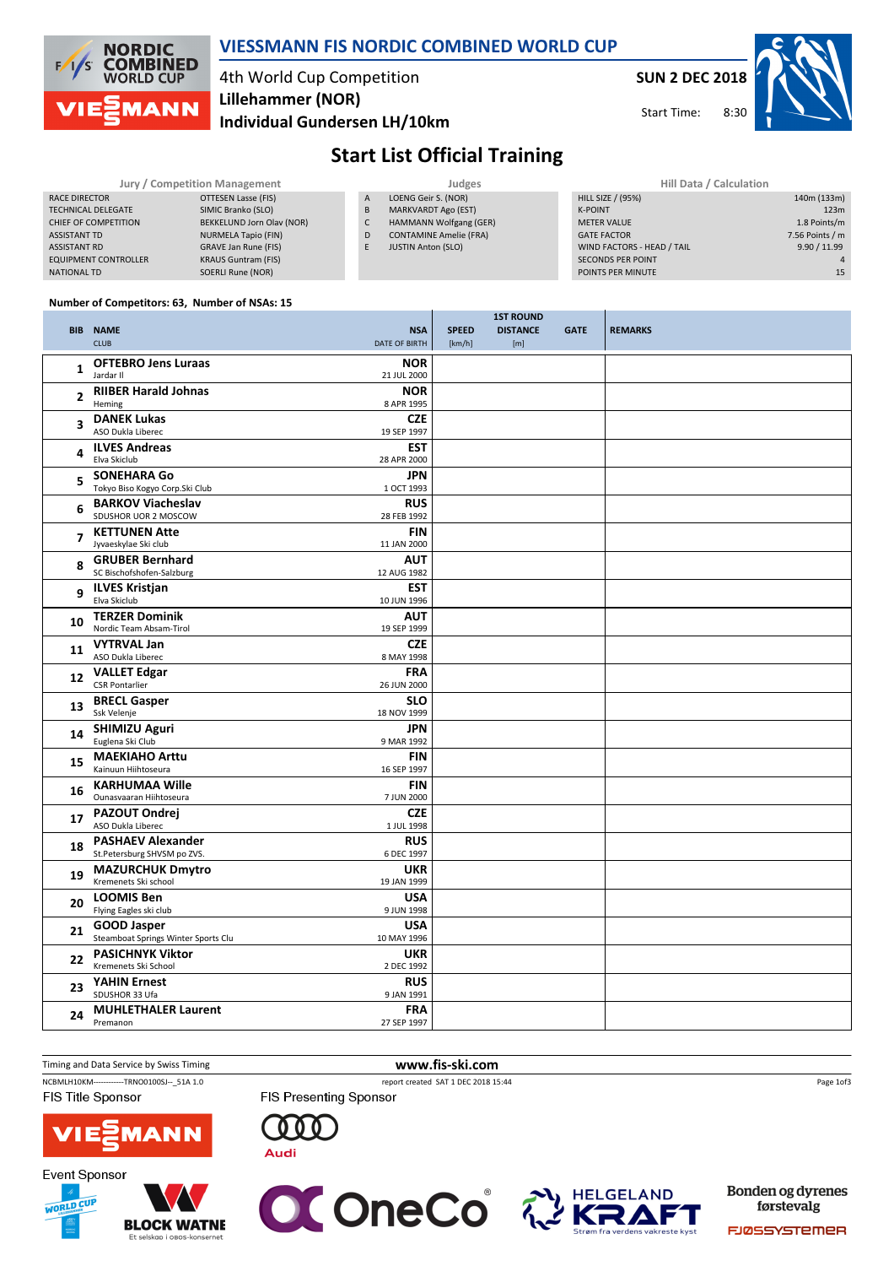

#### VIESSMANN FIS NORDIC COMBINED WORLD CUP

## 4th World Cup Competition Individual Gundersen LH/10km Lillehammer (NOR)

SUN 2 DEC 2018

 $8.30$ 



Start Time:

# Start List Official Training

| Jury / Competition Management |                             | Judges         |                               |  | Hill Data / Calculation    |                 |  |
|-------------------------------|-----------------------------|----------------|-------------------------------|--|----------------------------|-----------------|--|
| RACE DIRECTOR                 | OTTESEN Lasse (FIS)         | $\overline{A}$ | LOENG Geir S. (NOR)           |  | HILL SIZE / (95%)          | 140m (133m)     |  |
| <b>TECHNICAL DELEGATE</b>     | SIMIC Branko (SLO)          | B              | <b>MARKVARDT Ago (EST)</b>    |  | <b>K-POINT</b>             | 123m            |  |
| CHIEF OF COMPETITION          | BEKKELUND Jorn Olav (NOR)   | J              | HAMMANN Wolfgang (GER)        |  | <b>METER VALUE</b>         | 1.8 Points/m    |  |
| <b>ASSISTANT TD</b>           | NURMELA Tapio (FIN)         | D              | <b>CONTAMINE Amelie (FRA)</b> |  | <b>GATE FACTOR</b>         | 7.56 Points / m |  |
| <b>ASSISTANT RD</b>           | <b>GRAVE Jan Rune (FIS)</b> |                | <b>JUSTIN Anton (SLO)</b>     |  | WIND FACTORS - HEAD / TAIL | 9.90 / 11.99    |  |
| <b>EQUIPMENT CONTROLLER</b>   | <b>KRAUS Guntram (FIS)</b>  |                |                               |  | <b>SECONDS PER POINT</b>   |                 |  |
| NATIONAL TD                   | SOERLI Rune (NOR)           |                |                               |  | POINTS PER MINUTE          | 15              |  |

#### Number of Competitors: 63, Number of NSAs: 15

|                   |                                                           |                           |              | <b>1ST ROUND</b> |             |                |
|-------------------|-----------------------------------------------------------|---------------------------|--------------|------------------|-------------|----------------|
|                   | <b>BIB NAME</b>                                           | <b>NSA</b>                | <b>SPEED</b> | <b>DISTANCE</b>  | <b>GATE</b> | <b>REMARKS</b> |
|                   | <b>CLUB</b>                                               | DATE OF BIRTH             | [km/h]       | [m]              |             |                |
| 1                 | <b>OFTEBRO Jens Luraas</b><br>Jardar II                   | <b>NOR</b><br>21 JUL 2000 |              |                  |             |                |
| 2                 | <b>RIIBER Harald Johnas</b><br>Heming                     | <b>NOR</b><br>8 APR 1995  |              |                  |             |                |
| 3                 | <b>DANEK Lukas</b>                                        | <b>CZE</b>                |              |                  |             |                |
|                   | ASO Dukla Liberec                                         | 19 SEP 1997               |              |                  |             |                |
| 4                 | <b>ILVES Andreas</b><br>Elva Skiclub                      | <b>EST</b><br>28 APR 2000 |              |                  |             |                |
| 5                 | <b>SONEHARA Go</b><br>Tokyo Biso Kogyo Corp.Ski Club      | <b>JPN</b><br>1 OCT 1993  |              |                  |             |                |
|                   | <b>BARKOV Viacheslav</b>                                  | <b>RUS</b>                |              |                  |             |                |
| 6                 | SDUSHOR UOR 2 MOSCOW                                      | 28 FEB 1992               |              |                  |             |                |
| $\overline{7}$    | <b>KETTUNEN Atte</b><br>Jyvaeskylae Ski club              | <b>FIN</b><br>11 JAN 2000 |              |                  |             |                |
| 8                 | <b>GRUBER Bernhard</b><br>SC Bischofshofen-Salzburg       | <b>AUT</b><br>12 AUG 1982 |              |                  |             |                |
| q                 | <b>ILVES Kristjan</b><br>Elva Skiclub                     | <b>EST</b><br>10 JUN 1996 |              |                  |             |                |
| 10                | <b>TERZER Dominik</b>                                     | <b>AUT</b>                |              |                  |             |                |
|                   | Nordic Team Absam-Tirol                                   | 19 SEP 1999               |              |                  |             |                |
| 11                | <b>VYTRVAL Jan</b>                                        | <b>CZE</b>                |              |                  |             |                |
|                   | ASO Dukla Liberec<br><b>VALLET Edgar</b>                  | 8 MAY 1998                |              |                  |             |                |
| $12 \overline{ }$ | <b>CSR Pontarlier</b>                                     | <b>FRA</b><br>26 JUN 2000 |              |                  |             |                |
|                   | <b>BRECL Gasper</b>                                       | <b>SLO</b>                |              |                  |             |                |
| 13                | Ssk Velenje                                               | 18 NOV 1999               |              |                  |             |                |
| 14                | <b>SHIMIZU Aguri</b>                                      | <b>JPN</b>                |              |                  |             |                |
|                   | Euglena Ski Club                                          | 9 MAR 1992                |              |                  |             |                |
| 15                | <b>MAEKIAHO Arttu</b><br>Kainuun Hiihtoseura              | <b>FIN</b><br>16 SEP 1997 |              |                  |             |                |
|                   | <b>KARHUMAA Wille</b>                                     | <b>FIN</b>                |              |                  |             |                |
| 16                | Ounasvaaran Hiihtoseura                                   | 7 JUN 2000                |              |                  |             |                |
| 17                | <b>PAZOUT Ondrej</b><br>ASO Dukla Liberec                 | <b>CZE</b><br>1 JUL 1998  |              |                  |             |                |
| 18                | <b>PASHAEV Alexander</b>                                  | <b>RUS</b>                |              |                  |             |                |
|                   | St.Petersburg SHVSM po ZVS.<br><b>MAZURCHUK Dmytro</b>    | 6 DEC 1997<br><b>UKR</b>  |              |                  |             |                |
| 19                | Kremenets Ski school                                      | 19 JAN 1999               |              |                  |             |                |
| 20                | <b>LOOMIS Ben</b><br>Flying Eagles ski club               | <b>USA</b><br>9 JUN 1998  |              |                  |             |                |
| 21                | <b>GOOD Jasper</b><br>Steamboat Springs Winter Sports Clu | <b>USA</b><br>10 MAY 1996 |              |                  |             |                |
| 22                | <b>PASICHNYK Viktor</b><br>Kremenets Ski School           | <b>UKR</b><br>2 DEC 1992  |              |                  |             |                |
| 23                | <b>YAHIN Ernest</b><br>SDUSHOR 33 Ufa                     | <b>RUS</b><br>9 JAN 1991  |              |                  |             |                |
|                   | <b>MUHLETHALER Laurent</b>                                | <b>FRA</b>                |              |                  |             |                |
| 24                | Premanon                                                  | 27 SEP 1997               |              |                  |             |                |
|                   |                                                           |                           |              |                  |             |                |

#### Timing and Data Service by Swiss Timing WWW.fis-ski.com

NCBMLH10KM------------TRNO0100SJ--\_51A 1.0 report created SAT 1 DEC 2018 15:44 FIS Title Sponsor

FIS Presenting Sponsor

Page 1of3







 $000$ 

**Audi** 



Bonden og dyrenes førstevalg

FJØSSYSTEMER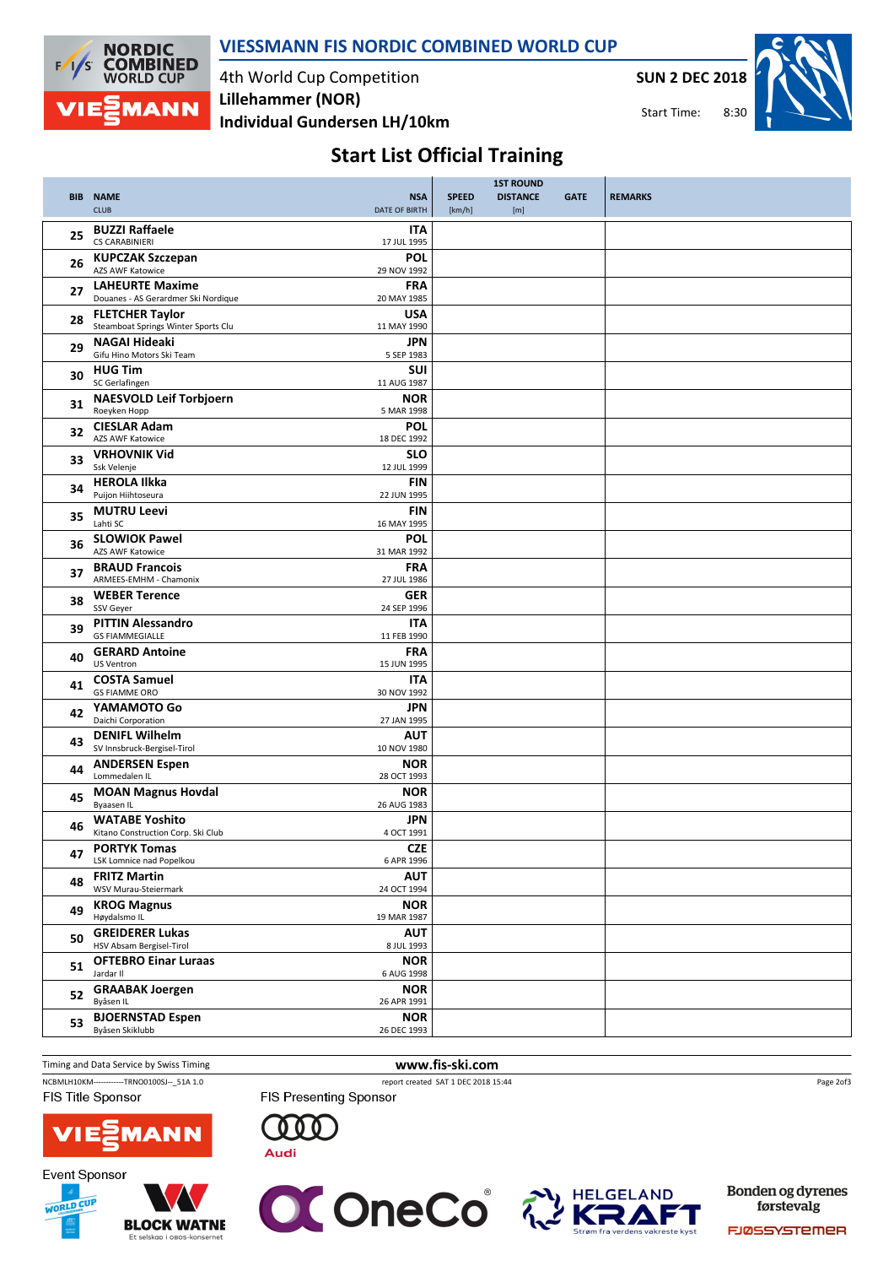

## VIESSMANN FIS NORDIC COMBINED WORLD CUP

4th World Cup Competition Individual Gundersen LH/10km Lillehammer (NOR)

SUN 2 DEC 2018

 $8.30$ Start Time:



# Start List Official Training

|    |                                                               | <b>NSA</b>                | <b>SPEED</b> | <b>1ST ROUND</b><br><b>DISTANCE</b> | <b>GATE</b> |                |
|----|---------------------------------------------------------------|---------------------------|--------------|-------------------------------------|-------------|----------------|
|    | <b>BIB NAME</b><br><b>CLUB</b>                                | DATE OF BIRTH             | [km/h]       | [m]                                 |             | <b>REMARKS</b> |
| 25 | <b>BUZZI Raffaele</b>                                         | <b>ITA</b>                |              |                                     |             |                |
|    | <b>CS CARABINIERI</b>                                         | 17 JUL 1995               |              |                                     |             |                |
| 26 | <b>KUPCZAK Szczepan</b><br><b>AZS AWF Katowice</b>            | POL<br>29 NOV 1992        |              |                                     |             |                |
| 27 | <b>LAHEURTE Maxime</b><br>Douanes - AS Gerardmer Ski Nordique | <b>FRA</b><br>20 MAY 1985 |              |                                     |             |                |
| 28 | <b>FLETCHER Taylor</b><br>Steamboat Springs Winter Sports Clu | <b>USA</b><br>11 MAY 1990 |              |                                     |             |                |
| 29 | <b>NAGAI Hideaki</b><br>Gifu Hino Motors Ski Team             | JPN<br>5 SEP 1983         |              |                                     |             |                |
| 30 | <b>HUG Tim</b><br>SC Gerlafingen                              | <b>SUI</b><br>11 AUG 1987 |              |                                     |             |                |
| 31 | <b>NAESVOLD Leif Torbjoern</b>                                | <b>NOR</b>                |              |                                     |             |                |
|    | Roeyken Hopp<br><b>CIESLAR Adam</b>                           | 5 MAR 1998<br>POL         |              |                                     |             |                |
| 32 | <b>AZS AWF Katowice</b>                                       | 18 DEC 1992               |              |                                     |             |                |
| 33 | <b>VRHOVNIK Vid</b><br>Ssk Velenje                            | <b>SLO</b><br>12 JUL 1999 |              |                                     |             |                |
| 34 | <b>HEROLA Ilkka</b>                                           | <b>FIN</b>                |              |                                     |             |                |
|    | Puijon Hiihtoseura<br><b>MUTRU Leevi</b>                      | 22 JUN 1995<br><b>FIN</b> |              |                                     |             |                |
| 35 | Lahti SC                                                      | 16 MAY 1995               |              |                                     |             |                |
| 36 | <b>SLOWIOK Pawel</b><br><b>AZS AWF Katowice</b>               | <b>POL</b><br>31 MAR 1992 |              |                                     |             |                |
| 37 | <b>BRAUD Francois</b><br>ARMEES-EMHM - Chamonix               | <b>FRA</b><br>27 JUL 1986 |              |                                     |             |                |
| 38 | <b>WEBER Terence</b><br>SSV Geyer                             | <b>GER</b><br>24 SEP 1996 |              |                                     |             |                |
| 39 | <b>PITTIN Alessandro</b><br><b>GS FIAMMEGIALLE</b>            | ITA<br>11 FEB 1990        |              |                                     |             |                |
| 40 | <b>GERARD Antoine</b><br><b>US Ventron</b>                    | <b>FRA</b><br>15 JUN 1995 |              |                                     |             |                |
|    | <b>COSTA Samuel</b>                                           | <b>ITA</b>                |              |                                     |             |                |
| 41 | <b>GS FIAMME ORO</b>                                          | 30 NOV 1992               |              |                                     |             |                |
| 42 | YAMAMOTO Go<br>Daichi Corporation                             | JPN<br>27 JAN 1995        |              |                                     |             |                |
| 43 | <b>DENIFL Wilhelm</b>                                         | AUT                       |              |                                     |             |                |
|    | SV Innsbruck-Bergisel-Tirol<br><b>ANDERSEN Espen</b>          | 10 NOV 1980<br><b>NOR</b> |              |                                     |             |                |
| 44 | Lommedalen IL                                                 | 28 OCT 1993               |              |                                     |             |                |
| 45 | <b>MOAN Magnus Hovdal</b><br><b>Byaasen IL</b>                | <b>NOR</b><br>26 AUG 1983 |              |                                     |             |                |
| 46 | <b>WATABE Yoshito</b><br>Kitano Construction Corp. Ski Club   | JPN<br>4 OCT 1991         |              |                                     |             |                |
| 47 | <b>PORTYK Tomas</b><br>LSK Lomnice nad Popelkou               | <b>CZE</b><br>6 APR 1996  |              |                                     |             |                |
| 48 | <b>FRITZ Martin</b><br>WSV Murau-Steiermark                   | <b>AUT</b><br>24 OCT 1994 |              |                                     |             |                |
| 49 | <b>KROG Magnus</b><br>Høydalsmo IL                            | <b>NOR</b><br>19 MAR 1987 |              |                                     |             |                |
| 50 | <b>GREIDERER Lukas</b>                                        | <b>AUT</b>                |              |                                     |             |                |
| 51 | HSV Absam Bergisel-Tirol<br><b>OFTEBRO Einar Luraas</b>       | 8 JUL 1993<br><b>NOR</b>  |              |                                     |             |                |
|    | Jardar II<br><b>GRAABAK Joergen</b>                           | 6 AUG 1998<br><b>NOR</b>  |              |                                     |             |                |
| 52 | Byåsen IL                                                     | 26 APR 1991               |              |                                     |             |                |
| 53 | <b>BJOERNSTAD Espen</b><br>Byåsen Skiklubb                    | <b>NOR</b><br>26 DEC 1993 |              |                                     |             |                |
|    |                                                               |                           |              |                                     |             |                |

Timing and Data Service by Swiss Timing WWW.fis-ski.com NCBMLH10KM------------TRNO0100SJ--\_51A 1.0 report created SAT 1 DEC 2018 15:44 FIS Title Sponsor

FIS Presenting Sponsor

Page 2of3



**Event Sponsor** 

WORLD CUP

 $000$ 







Bonden og dyrenes førstevalg

FJØSSYSTEMER